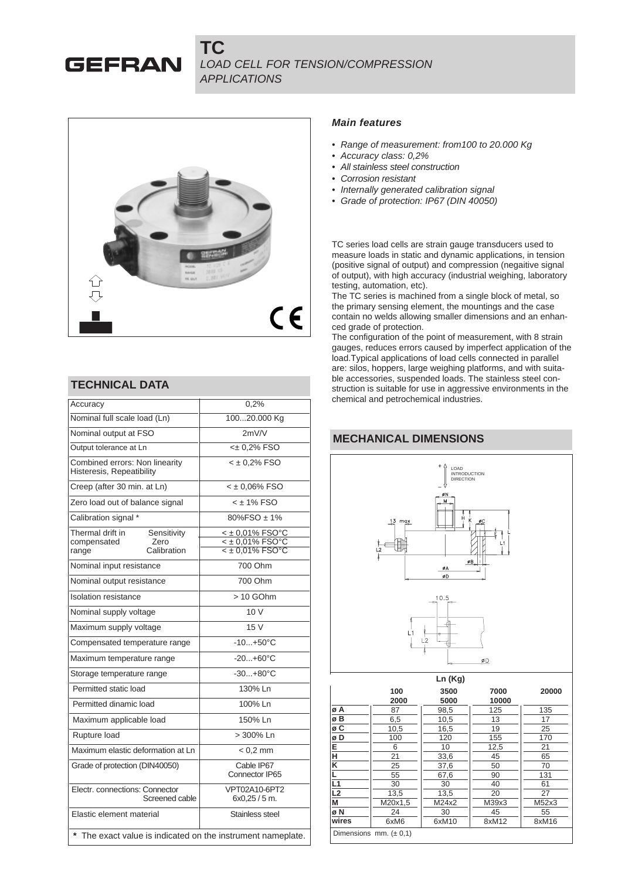**TC** LOAD CELL FOR TENSION/COMPRESSION **APPLICATIONS** 



#### **TECHNICAL DATA**

**GEFRAN** 

| Accuracy                                                    | 0.2%                           |  |  |  |  |
|-------------------------------------------------------------|--------------------------------|--|--|--|--|
| Nominal full scale load (Ln)                                | 10020.000 Kg                   |  |  |  |  |
| Nominal output at FSO                                       | 2mV/V                          |  |  |  |  |
| Output tolerance at Ln                                      | <± 0,2% FSO                    |  |  |  |  |
| Combined errors: Non linearity<br>Histeresis, Repeatibility | $<$ ± 0.2% FSO                 |  |  |  |  |
| Creep (after 30 min. at Ln)                                 | $<$ ± 0.06% FSO                |  |  |  |  |
| Zero load out of balance signal                             | $<$ $\pm$ 1% FSO               |  |  |  |  |
| Calibration signal *                                        | $80\%$ FSO $\pm$ 1%            |  |  |  |  |
| Thermal drift in<br>Sensitivity                             | < ± 0,01% FSO°C                |  |  |  |  |
| Zero<br>compensated                                         | $<$ ± 0,01% FSO°C              |  |  |  |  |
| Calibration<br>range                                        | $<$ ± 0,01% FSO°C              |  |  |  |  |
| Nominal input resistance                                    | 700 Ohm                        |  |  |  |  |
| Nominal output resistance                                   | 700 Ohm                        |  |  |  |  |
| Isolation resistance                                        | > 10 GOhm                      |  |  |  |  |
| Nominal supply voltage                                      | 10 V                           |  |  |  |  |
| Maximum supply voltage                                      | 15 V                           |  |  |  |  |
| Compensated temperature range                               | $-10+50°C$                     |  |  |  |  |
| Maximum temperature range                                   | $-20+60°C$                     |  |  |  |  |
| Storage temperature range                                   | $-30+80°C$                     |  |  |  |  |
| Permitted static load                                       | 130% Ln                        |  |  |  |  |
| Permitted dinamic load                                      | 100% Ln                        |  |  |  |  |
| Maximum applicable load                                     | 150% Ln                        |  |  |  |  |
| Rupture load                                                | > 300% Ln                      |  |  |  |  |
| Maximum elastic deformation at Ln                           | $< 0.2$ mm                     |  |  |  |  |
| Grade of protection (DIN40050)                              | Cable IP67<br>Connector IP65   |  |  |  |  |
| Electr. connections: Connector<br>Screened cable            | VPT02A10-6PT2<br>$6x0.25/5$ m. |  |  |  |  |
| Elastic element material                                    | Stainless steel                |  |  |  |  |
| The exact value is indicated on the instrument nameplate.   |                                |  |  |  |  |

#### **Main features**

- Range of measurement: from 100 to 20.000 Kg
- Accuracy class: 0,2%
- All stainless steel construction
- Corrosion resistant
- Internally generated calibration signal
- Grade of protection: IP67 (DIN 40050)

TC series load cells are strain gauge transducers used to measure loads in static and dynamic applications, in tension (positive signal of output) and compression (negaitive signal of output), with high accuracy (industrial weighing, laboratory testing, automation, etc).

The TC series is machined from a single block of metal, so the primary sensing element, the mountings and the case contain no welds allowing smaller dimensions and an enhanced grade of protection.

The configuration of the point of measurement, with 8 strain gauges, reduces errors caused by imperfect application of the load.Typical applications of load cells connected in parallel are: silos, hoppers, large weighing platforms, and with suitable accessories, suspended loads. The stainless steel construction is suitable for use in aggressive environments in the chemical and petrochemical industries.

# **MECHANICAL DIMENSIONS**

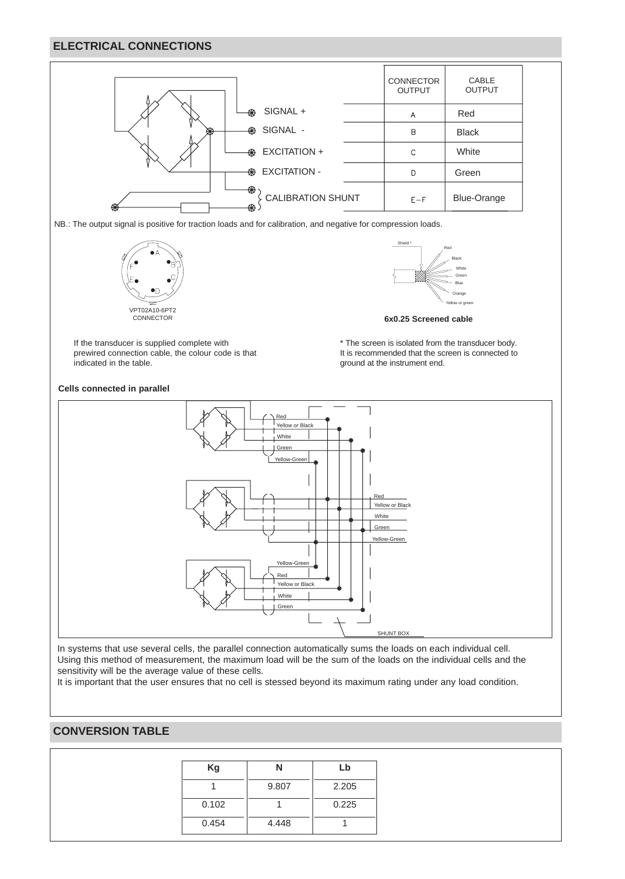## **ELECTRICAL CONNECTIONS**



NB.: The output signal is positive for traction loads and for calibration, and negative for compression loads.

VPT02A10-6PT2 CONNECTOR

If the transducer is supplied complete with prewired connection cable, the colour code is that indicated in the table.



**6x0.25 Screened cable**

\* The screen is isolated from the transducer body. It is recommended that the screen is connected to ground at the instrument end.



In systems that use several cells, the parallel connection automatically sums the loads on each individual cell. Using this method of measurement, the maximum load will be the sum of the loads on the individual cells and the sensitivity will be the average value of these cells.

It is important that the user ensures that no cell is stessed beyond its maximum rating under any load condition.

## **CONVERSION TABLE**

| Kg    | Ν     | Lb    |
|-------|-------|-------|
|       | 9.807 | 2.205 |
| 0.102 |       | 0.225 |
| 0.454 | 4.448 |       |

#### **Cells connected in parallel**